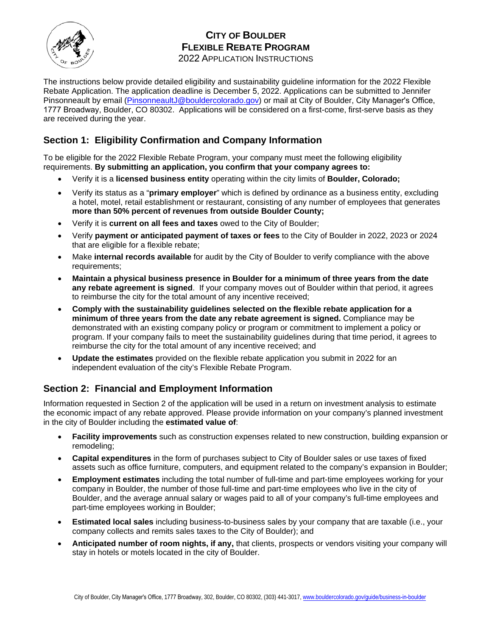

# **CITY OF BOULDER FLEXIBLE REBATE PROGRAM**

2022 APPLICATION INSTRUCTIONS

The instructions below provide detailed eligibility and sustainability guideline information for the 2022 Flexible Rebate Application. The application deadline is December 5, 2022. Applications can be submitted to Jennifer Pinsonneault by email [\(PinsonneaultJ@bouldercolorado.gov\)](mailto:PinsonneaultJ@bouldercolorado.gov) or mail at City of Boulder, City Manager's Office, 1777 Broadway, Boulder, CO 80302. Applications will be considered on a first-come, first-serve basis as they are received during the year.

## **Section 1: Eligibility Confirmation and Company Information**

To be eligible for the 2022 Flexible Rebate Program, your company must meet the following eligibility requirements. **By submitting an application, you confirm that your company agrees to:** 

- Verify it is a **licensed business entity** operating within the city limits of **Boulder, Colorado;**
- Verify its status as a "**primary employer**" which is defined by ordinance as a business entity, excluding a hotel, motel, retail establishment or restaurant, consisting of any number of employees that generates **more than 50% percent of revenues from outside Boulder County;**
- Verify it is **current on all fees and taxes** owed to the City of Boulder;
- Verify **payment or anticipated payment of taxes or fees** to the City of Boulder in 2022, 2023 or 2024 that are eligible for a flexible rebate;
- Make **internal records available** for audit by the City of Boulder to verify compliance with the above requirements;
- **Maintain a physical business presence in Boulder for a minimum of three years from the date any rebate agreement is signed**. If your company moves out of Boulder within that period, it agrees to reimburse the city for the total amount of any incentive received;
- **Comply with the sustainability guidelines selected on the flexible rebate application for a minimum of three years from the date any rebate agreement is signed.** Compliance may be demonstrated with an existing company policy or program or commitment to implement a policy or program. If your company fails to meet the sustainability guidelines during that time period, it agrees to reimburse the city for the total amount of any incentive received; and
- **Update the estimates** provided on the flexible rebate application you submit in 2022 for an independent evaluation of the city's Flexible Rebate Program.

# **Section 2: Financial and Employment Information**

Information requested in Section 2 of the application will be used in a return on investment analysis to estimate the economic impact of any rebate approved. Please provide information on your company's planned investment in the city of Boulder including the **estimated value of**:

- **Facility improvements** such as construction expenses related to new construction, building expansion or remodeling;
- **Capital expenditures** in the form of purchases subject to City of Boulder sales or use taxes of fixed assets such as office furniture, computers, and equipment related to the company's expansion in Boulder;
- **Employment estimates** including the total number of full-time and part-time employees working for your company in Boulder, the number of those full-time and part-time employees who live in the city of Boulder, and the average annual salary or wages paid to all of your company's full-time employees and part-time employees working in Boulder;
- **Estimated local sales** including business-to-business sales by your company that are taxable (i.e., your company collects and remits sales taxes to the City of Boulder); and
- **Anticipated number of room nights, if any,** that clients, prospects or vendors visiting your company will stay in hotels or motels located in the city of Boulder.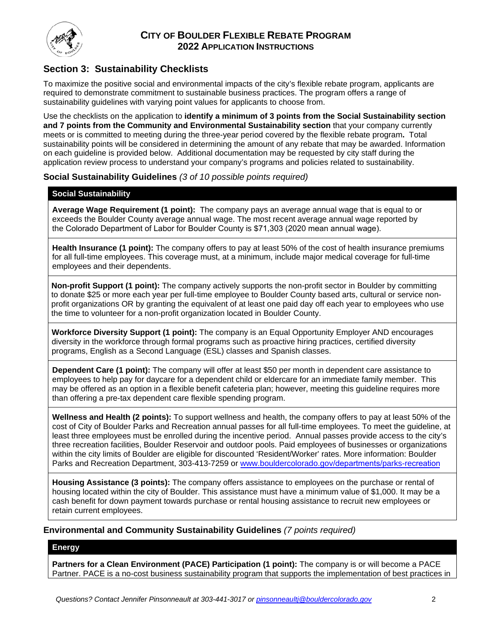

### **Section 3: Sustainability Checklists**

To maximize the positive social and environmental impacts of the city's flexible rebate program, applicants are required to demonstrate commitment to sustainable business practices. The program offers a range of sustainability guidelines with varying point values for applicants to choose from.

Use the checklists on the application to **identify a minimum of 3 points from the Social Sustainability section and 7 points from the Community and Environmental Sustainability section** that your company currently meets or is committed to meeting during the three-year period covered by the flexible rebate program**.** Total sustainability points will be considered in determining the amount of any rebate that may be awarded. Information on each guideline is provided below. Additional documentation may be requested by city staff during the application review process to understand your company's programs and policies related to sustainability.

#### **Social Sustainability Guidelines** *(3 of 10 possible points required)*

#### **Social Sustainability**

**Average Wage Requirement (1 point):** The company pays an average annual wage that is equal to or exceeds the Boulder County average annual wage. The most recent average annual wage reported by the Colorado Department of Labor for Boulder County is \$71,303 (2020 mean annual wage).

**Health Insurance (1 point):** The company offers to pay at least 50% of the cost of health insurance premiums for all full-time employees. This coverage must, at a minimum, include major medical coverage for full-time employees and their dependents.

**Non-profit Support (1 point):** The company actively supports the non-profit sector in Boulder by committing to donate \$25 or more each year per full-time employee to Boulder County based arts, cultural or service nonprofit organizations OR by granting the equivalent of at least one paid day off each year to employees who use the time to volunteer for a non-profit organization located in Boulder County.

**Workforce Diversity Support (1 point):** The company is an Equal Opportunity Employer AND encourages diversity in the workforce through formal programs such as proactive hiring practices, certified diversity programs, English as a Second Language (ESL) classes and Spanish classes.

**Dependent Care (1 point):** The company will offer at least \$50 per month in dependent care assistance to employees to help pay for daycare for a dependent child or eldercare for an immediate family member. This may be offered as an option in a flexible benefit cafeteria plan; however, meeting this guideline requires more than offering a pre-tax dependent care flexible spending program.

**Wellness and Health (2 points):** To support wellness and health, the company offers to pay at least 50% of the cost of City of Boulder Parks and Recreation annual passes for all full-time employees. To meet the guideline, at least three employees must be enrolled during the incentive period. Annual passes provide access to the city's three recreation facilities, Boulder Reservoir and outdoor pools. Paid employees of businesses or organizations within the city limits of Boulder are eligible for discounted 'Resident/Worker' rates. More information: Boulder Parks and Recreation Department, 303-413-7259 or [www.bouldercolorado.gov/](http://www.bouldercolorado.gov/parks-rec)departments/parks-recreation

**Housing Assistance (3 points):** The company offers assistance to employees on the purchase or rental of housing located within the city of Boulder. This assistance must have a minimum value of \$1,000. It may be a cash benefit for down payment towards purchase or rental housing assistance to recruit new employees or retain current employees.

#### **Environmental and Community Sustainability Guidelines** *(7 points required)*

#### **Energy**

**Partners for a Clean Environment (PACE) Participation (1 point):** The company is or will become a PACE Partner. PACE is a no-cost business sustainability program that supports the implementation of best practices in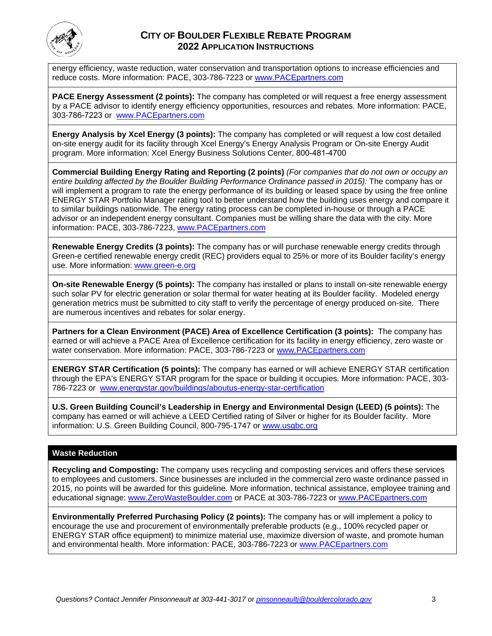

### **CITY OF BOULDER FLEXIBLE REBATE PROGRAM 2022 APPLICATION INSTRUCTIONS**

energy efficiency, waste reduction, water conservation and transportation options to increase efficiencies and reduce costs. More information: PACE, 303-786-7223 or [www.PACEpartners.com](http://www.pacepartners.com/)

**PACE Energy Assessment (2 points):** The company has completed or will request a free energy assessment by a PACE advisor to identify energy efficiency opportunities, resources and rebates. More information: PACE, 303-786-7223 or [www.PACEpartners.com](http://www.pacepartners.com/)

**Energy Analysis by Xcel Energy (3 points):** The company has completed or will request a low cost detailed on-site energy audit for its facility through Xcel Energy's Energy Analysis Program or On-site Energy Audit program. More information: Xcel Energy Business Solutions Center, 800-481-4700

**Commercial Building Energy Rating and Reporting (2 points)** *(For companies that do not own or occupy an entire building affected by the Boulder Building Performance Ordinance passed in 2015):* The company has or will implement a program to rate the energy performance of its building or leased space by using the free online ENERGY STAR Portfolio Manager rating tool to better understand how the building uses energy and compare it to similar buildings nationwide. The energy rating process can be completed in-house or through a PACE advisor or an independent energy consultant. Companies must be willing share the data with the city. More information: PACE, 303-786-7223, [www.PACEpartners.com](http://www.pacepartners.com/)

**Renewable Energy Credits (3 points):** The company has or will purchase renewable energy credits through Green-e certified renewable energy credit (REC) providers equal to 25% or more of its Boulder facility's energy use. More information: [www.green-e.org](http://www.green-e.org/)

**On-site Renewable Energy (5 points):** The company has installed or plans to install on-site renewable energy such solar PV for electric generation or solar thermal for water heating at its Boulder facility. Modeled energy generation metrics must be submitted to city staff to verify the percentage of [energy](http://www.dsire.org/) produced on-site. There are numerous incentives and rebates for solar energy.

**Partners for a Clean Environment (PACE) Area of Excellence Certification (3 points):** The company has earned or will achieve a PACE Area of Excellence certification for its facility in energy efficiency, zero waste or water conservation. More information: PACE, 303-786-7223 or [www.PACEpartners.com](http://www.pacepartners.com/)

**ENERGY STAR Certification (5 points):** The company has earned or will achieve ENERGY STAR certification through the EPA's ENERGY STAR program for the space or building it occupies. More information: PACE, 303- 786-7223 or [www.energystar.gov/buildings/aboutus-energy-star-certification](http://www.energystar.gov/buildings/aboutus-energy-star-certification)

**U.S. Green Building Council's Leadership in Energy and Environmental Design (LEED) (5 points):** The company has earned or will achieve a LEED Certified rating of Silver or higher for its Boulder facility. More information: U.S. Green Building Council, 800-795-1747 or [www.usgbc.org](http://www.usgbc.org/)

#### **Waste Reduction**

**Recycling and Composting:** The company uses recycling and composting services and offers these services to employees and customers. Since businesses are included in the commercial zero waste ordinance passed in 2015, no points will be awarded for this guideline. More information, technical assistance, employee training and educational signage: [www.ZeroWasteBoulder.com](http://www.zerowasteboulder.com/) or PACE at 303-786-7223 or [www.PACEpartners.com](http://www.pacepartners.com/)

**Environmentally Preferred Purchasing Policy (2 points):** The company has or will implement a policy to encourage the use and procurement of environmentally preferable products (e.g., 100% recycled paper or ENERGY STAR office equipment) to minimize material use, maximize diversion of waste, and promote human and environmental health. More information: PACE, 303-786-7223 or [www.PACEpartners.com](http://www.pacepartners.com/)